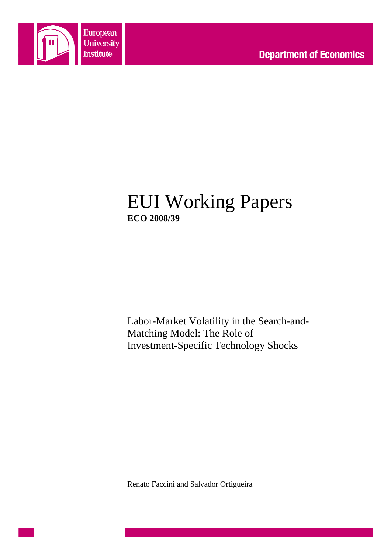

# EUI Working Papers **ECO 2008/39**

Labor-Market Volatility in the Search-and-Matching Model: The Role of Investment-Specific Technology Shocks

Renato Faccini and Salvador Ortigueira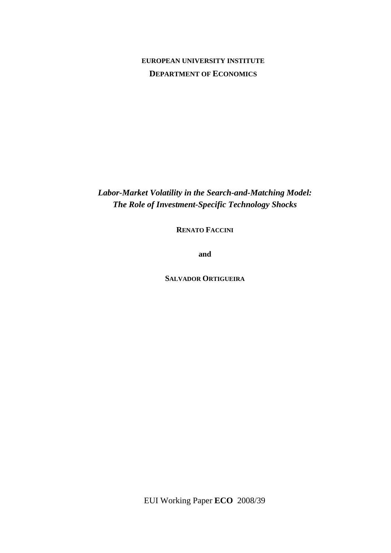## **EUROPEAN UNIVERSITY INSTITUTE DEPARTMENT OF ECONOMICS**

*Labor-Market Volatility in the Search-and-Matching Model: The Role of Investment-Specific Technology Shocks* 

**RENATO FACCINI**

**and**

**SALVADOR ORTIGUEIRA**

EUI Working Paper **ECO** 2008/39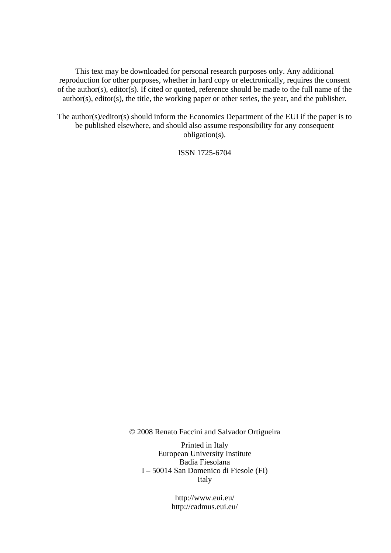This text may be downloaded for personal research purposes only. Any additional reproduction for other purposes, whether in hard copy or electronically, requires the consent of the author(s), editor(s). If cited or quoted, reference should be made to the full name of the author(s), editor(s), the title, the working paper or other series, the year, and the publisher.

The author(s)/editor(s) should inform the Economics Department of the EUI if the paper is to be published elsewhere, and should also assume responsibility for any consequent obligation(s).

ISSN 1725-6704

© 2008 Renato Faccini and Salvador Ortigueira

Printed in Italy European University Institute Badia Fiesolana I – 50014 San Domenico di Fiesole (FI) Italy

> http://www.eui.eu/ http://cadmus.eui.eu/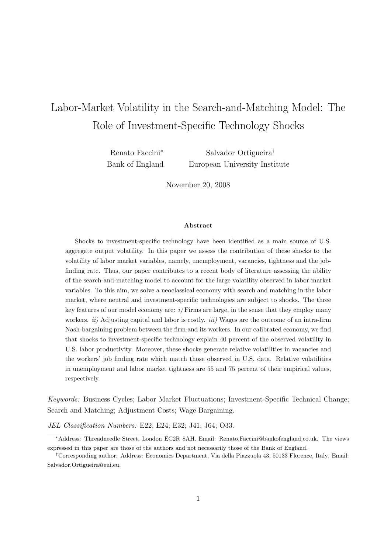## Labor-Market Volatility in the Search-and-Matching Model: The Role of Investment-Specific Technology Shocks

Renato Faccini<sup>∗</sup> Bank of England

Salvador Ortigueira† European University Institute

November 20, 2008

#### Abstract

Shocks to investment-specific technology have been identified as a main source of U.S. aggregate output volatility. In this paper we assess the contribution of these shocks to the volatility of labor market variables, namely, unemployment, vacancies, tightness and the jobfinding rate. Thus, our paper contributes to a recent body of literature assessing the ability of the search-and-matching model to account for the large volatility observed in labor market variables. To this aim, we solve a neoclassical economy with search and matching in the labor market, where neutral and investment-specific technologies are subject to shocks. The three key features of our model economy are:  $i$ ) Firms are large, in the sense that they employ many workers.  $ii)$  Adjusting capital and labor is costly.  $iii)$  Wages are the outcome of an intra-firm Nash-bargaining problem between the firm and its workers. In our calibrated economy, we find that shocks to investment-specific technology explain 40 percent of the observed volatility in U.S. labor productivity. Moreover, these shocks generate relative volatilities in vacancies and the workers' job finding rate which match those observed in U.S. data. Relative volatilities in unemployment and labor market tightness are 55 and 75 percent of their empirical values, respectively.

Keywords: Business Cycles; Labor Market Fluctuations; Investment-Specific Technical Change; Search and Matching; Adjustment Costs; Wage Bargaining.

JEL Classification Numbers: E22; E24; E32; J41; J64; O33.

<sup>∗</sup>Address: Threadneedle Street, London EC2R 8AH. Email: Renato.Faccini@bankofengland.co.uk. The views expressed in this paper are those of the authors and not necessarily those of the Bank of England.

<sup>†</sup>Corresponding author. Address: Economics Department, Via della Piazzuola 43, 50133 Florence, Italy. Email: Salvador.Ortigueira@eui.eu.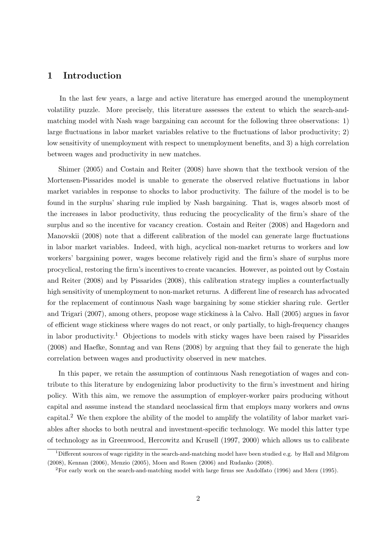## 1 Introduction

In the last few years, a large and active literature has emerged around the unemployment volatility puzzle. More precisely, this literature assesses the extent to which the search-andmatching model with Nash wage bargaining can account for the following three observations: 1) large fluctuations in labor market variables relative to the fluctuations of labor productivity; 2) low sensitivity of unemployment with respect to unemployment benefits, and 3) a high correlation between wages and productivity in new matches.

Shimer (2005) and Costain and Reiter (2008) have shown that the textbook version of the Mortensen-Pissarides model is unable to generate the observed relative fluctuations in labor market variables in response to shocks to labor productivity. The failure of the model is to be found in the surplus' sharing rule implied by Nash bargaining. That is, wages absorb most of the increases in labor productivity, thus reducing the procyclicality of the firm's share of the surplus and so the incentive for vacancy creation. Costain and Reiter (2008) and Hagedorn and Manovskii (2008) note that a different calibration of the model can generate large fluctuations in labor market variables. Indeed, with high, acyclical non-market returns to workers and low workers' bargaining power, wages become relatively rigid and the firm's share of surplus more procyclical, restoring the firm's incentives to create vacancies. However, as pointed out by Costain and Reiter (2008) and by Pissarides (2008), this calibration strategy implies a counterfactually high sensitivity of unemployment to non-market returns. A different line of research has advocated for the replacement of continuous Nash wage bargaining by some stickier sharing rule. Gertler and Trigari (2007), among others, propose wage stickiness à la Calvo. Hall (2005) argues in favor of efficient wage stickiness where wages do not react, or only partially, to high-frequency changes in labor productivity.<sup>1</sup> Objections to models with sticky wages have been raised by Pissarides (2008) and Haefke, Sonntag and van Rens (2008) by arguing that they fail to generate the high correlation between wages and productivity observed in new matches.

In this paper, we retain the assumption of continuous Nash renegotiation of wages and contribute to this literature by endogenizing labor productivity to the firm's investment and hiring policy. With this aim, we remove the assumption of employer-worker pairs producing without capital and assume instead the standard neoclassical firm that employs many workers and owns capital.<sup>2</sup> We then explore the ability of the model to amplify the volatility of labor market variables after shocks to both neutral and investment-specific technology. We model this latter type of technology as in Greenwood, Hercowitz and Krusell (1997, 2000) which allows us to calibrate

 $1$ Different sources of wage rigidity in the search-and-matching model have been studied e.g. by Hall and Milgrom (2008), Kennan (2006), Menzio (2005), Moen and Rosen (2006) and Rudanko (2008).

<sup>2</sup>For early work on the search-and-matching model with large firms see Andolfato (1996) and Merz (1995).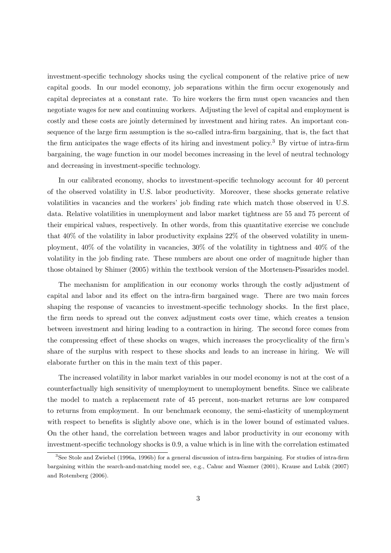investment-specific technology shocks using the cyclical component of the relative price of new capital goods. In our model economy, job separations within the firm occur exogenously and capital depreciates at a constant rate. To hire workers the firm must open vacancies and then negotiate wages for new and continuing workers. Adjusting the level of capital and employment is costly and these costs are jointly determined by investment and hiring rates. An important consequence of the large firm assumption is the so-called intra-firm bargaining, that is, the fact that the firm anticipates the wage effects of its hiring and investment policy.<sup>3</sup> By virtue of intra-firm bargaining, the wage function in our model becomes increasing in the level of neutral technology and decreasing in investment-specific technology.

In our calibrated economy, shocks to investment-specific technology account for 40 percent of the observed volatility in U.S. labor productivity. Moreover, these shocks generate relative volatilities in vacancies and the workers' job finding rate which match those observed in U.S. data. Relative volatilities in unemployment and labor market tightness are 55 and 75 percent of their empirical values, respectively. In other words, from this quantitative exercise we conclude that 40% of the volatility in labor productivity explains 22% of the observed volatility in unemployment, 40% of the volatility in vacancies, 30% of the volatility in tightness and 40% of the volatility in the job finding rate. These numbers are about one order of magnitude higher than those obtained by Shimer (2005) within the textbook version of the Mortensen-Pissarides model.

The mechanism for amplification in our economy works through the costly adjustment of capital and labor and its effect on the intra-firm bargained wage. There are two main forces shaping the response of vacancies to investment-specific technology shocks. In the first place, the firm needs to spread out the convex adjustment costs over time, which creates a tension between investment and hiring leading to a contraction in hiring. The second force comes from the compressing effect of these shocks on wages, which increases the procyclicality of the firm's share of the surplus with respect to these shocks and leads to an increase in hiring. We will elaborate further on this in the main text of this paper.

The increased volatility in labor market variables in our model economy is not at the cost of a counterfactually high sensitivity of unemployment to unemployment benefits. Since we calibrate the model to match a replacement rate of 45 percent, non-market returns are low compared to returns from employment. In our benchmark economy, the semi-elasticity of unemployment with respect to benefits is slightly above one, which is in the lower bound of estimated values. On the other hand, the correlation between wages and labor productivity in our economy with investment-specific technology shocks is 0.9, a value which is in line with the correlation estimated

<sup>3</sup>See Stole and Zwiebel (1996a, 1996b) for a general discussion of intra-firm bargaining. For studies of intra-firm bargaining within the search-and-matching model see, e.g., Cahuc and Wasmer (2001), Krause and Lubik (2007) and Rotemberg (2006).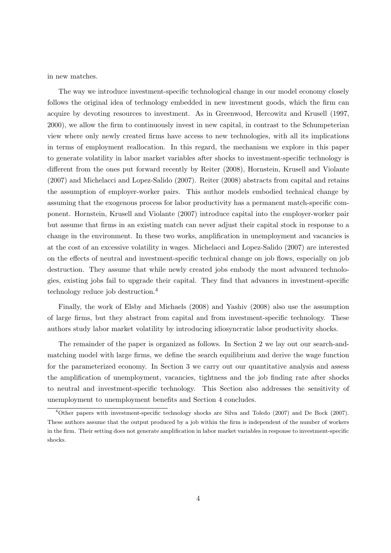in new matches.

The way we introduce investment-specific technological change in our model economy closely follows the original idea of technology embedded in new investment goods, which the firm can acquire by devoting resources to investment. As in Greenwood, Hercowitz and Krusell (1997, 2000), we allow the firm to continuously invest in new capital, in contrast to the Schumpeterian view where only newly created firms have access to new technologies, with all its implications in terms of employment reallocation. In this regard, the mechanism we explore in this paper to generate volatility in labor market variables after shocks to investment-specific technology is different from the ones put forward recently by Reiter (2008), Hornstein, Krusell and Violante (2007) and Michelacci and Lopez-Salido (2007). Reiter (2008) abstracts from capital and retains the assumption of employer-worker pairs. This author models embodied technical change by assuming that the exogenous process for labor productivity has a permanent match-specific component. Hornstein, Krusell and Violante (2007) introduce capital into the employer-worker pair but assume that firms in an existing match can never adjust their capital stock in response to a change in the environment. In these two works, amplification in unemployment and vacancies is at the cost of an excessive volatility in wages. Michelacci and Lopez-Salido (2007) are interested on the effects of neutral and investment-specific technical change on job flows, especially on job destruction. They assume that while newly created jobs embody the most advanced technologies, existing jobs fail to upgrade their capital. They find that advances in investment-specific technology reduce job destruction.<sup>4</sup>

Finally, the work of Elsby and Michaels (2008) and Yashiv (2008) also use the assumption of large firms, but they abstract from capital and from investment-specific technology. These authors study labor market volatility by introducing idiosyncratic labor productivity shocks.

The remainder of the paper is organized as follows. In Section 2 we lay out our search-andmatching model with large firms, we define the search equilibrium and derive the wage function for the parameterized economy. In Section 3 we carry out our quantitative analysis and assess the amplification of unemployment, vacancies, tightness and the job finding rate after shocks to neutral and investment-specific technology. This Section also addresses the sensitivity of unemployment to unemployment benefits and Section 4 concludes.

<sup>4</sup>Other papers with investment-specific technology shocks are Silva and Toledo (2007) and De Bock (2007). These authors assume that the output produced by a job within the firm is independent of the number of workers in the firm. Their setting does not generate amplification in labor market variables in response to investment-specific shocks.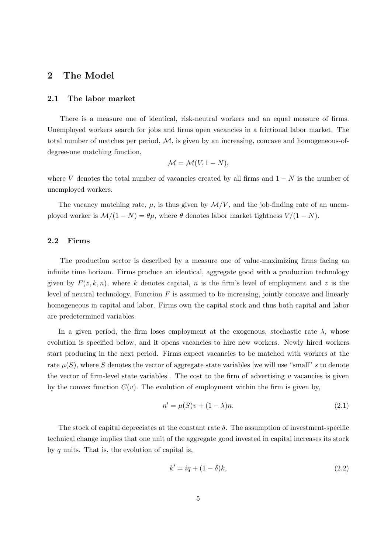## 2 The Model

#### 2.1 The labor market

There is a measure one of identical, risk-neutral workers and an equal measure of firms. Unemployed workers search for jobs and firms open vacancies in a frictional labor market. The total number of matches per period,  $M$ , is given by an increasing, concave and homogeneous-ofdegree-one matching function,

$$
\mathcal{M} = \mathcal{M}(V, 1 - N),
$$

where V denotes the total number of vacancies created by all firms and  $1 - N$  is the number of unemployed workers.

The vacancy matching rate,  $\mu$ , is thus given by  $\mathcal{M}/V$ , and the job-finding rate of an unemployed worker is  $\mathcal{M}/(1-N) = \theta\mu$ , where  $\theta$  denotes labor market tightness  $V/(1-N)$ .

#### 2.2 Firms

The production sector is described by a measure one of value-maximizing firms facing an infinite time horizon. Firms produce an identical, aggregate good with a production technology given by  $F(z, k, n)$ , where k denotes capital, n is the firm's level of employment and z is the level of neutral technology. Function  $F$  is assumed to be increasing, jointly concave and linearly homogeneous in capital and labor. Firms own the capital stock and thus both capital and labor are predetermined variables.

In a given period, the firm loses employment at the exogenous, stochastic rate  $\lambda$ , whose evolution is specified below, and it opens vacancies to hire new workers. Newly hired workers start producing in the next period. Firms expect vacancies to be matched with workers at the rate  $\mu(S)$ , where S denotes the vector of aggregate state variables [we will use "small" s to denote the vector of firm-level state variables]. The cost to the firm of advertising  $v$  vacancies is given by the convex function  $C(v)$ . The evolution of employment within the firm is given by,

$$
n' = \mu(S)v + (1 - \lambda)n.
$$
\n
$$
(2.1)
$$

The stock of capital depreciates at the constant rate  $\delta$ . The assumption of investment-specific technical change implies that one unit of the aggregate good invested in capital increases its stock by  $q$  units. That is, the evolution of capital is,

$$
k' = iq + (1 - \delta)k,\tag{2.2}
$$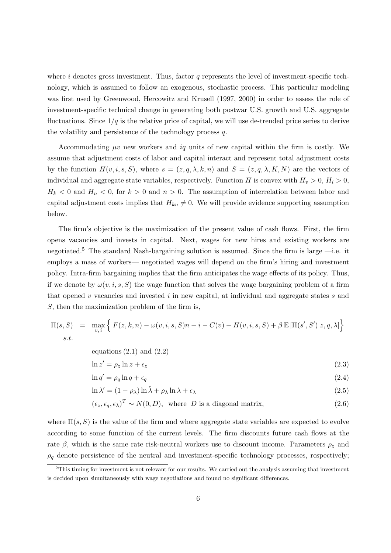where  $i$  denotes gross investment. Thus, factor  $q$  represents the level of investment-specific technology, which is assumed to follow an exogenous, stochastic process. This particular modeling was first used by Greenwood, Hercowitz and Krusell (1997, 2000) in order to assess the role of investment-specific technical change in generating both postwar U.S. growth and U.S. aggregate fluctuations. Since  $1/q$  is the relative price of capital, we will use de-trended price series to derive the volatility and persistence of the technology process q.

Accommodating  $\mu v$  new workers and  $iq$  units of new capital within the firm is costly. We assume that adjustment costs of labor and capital interact and represent total adjustment costs by the function  $H(v, i, s, S)$ , where  $s = (z, q, \lambda, k, n)$  and  $S = (z, q, \lambda, K, N)$  are the vectors of individual and aggregate state variables, respectively. Function H is convex with  $H_v > 0$ ,  $H_i > 0$ ,  $H_k < 0$  and  $H_n < 0$ , for  $k > 0$  and  $n > 0$ . The assumption of interrelation between labor and capital adjustment costs implies that  $H_{kn} \neq 0$ . We will provide evidence supporting assumption below.

The firm's objective is the maximization of the present value of cash flows. First, the firm opens vacancies and invests in capital. Next, wages for new hires and existing workers are negotiated.<sup>5</sup> The standard Nash-bargaining solution is assumed. Since the firm is large  $-i.e.$  it employs a mass of workers— negotiated wages will depend on the firm's hiring and investment policy. Intra-firm bargaining implies that the firm anticipates the wage effects of its policy. Thus, if we denote by  $\omega(v, i, s, S)$  the wage function that solves the wage bargaining problem of a firm that opened v vacancies and invested  $i$  in new capital, at individual and aggregate states  $s$  and S, then the maximization problem of the firm is,

$$
\Pi(s, S) = \max_{v, i} \left\{ F(z, k, n) - \omega(v, i, s, S)n - i - C(v) - H(v, i, s, S) + \beta \mathbb{E}[\Pi(s', S')|z, q, \lambda] \right\}
$$
  
s.t.

equations  $(2.1)$  and  $(2.2)$ 

$$
\ln z' = \rho_z \ln z + \epsilon_z \tag{2.3}
$$

$$
\ln q' = \rho_q \ln q + \epsilon_q \tag{2.4}
$$

$$
\ln \lambda' = (1 - \rho_{\lambda}) \ln \hat{\lambda} + \rho_{\lambda} \ln \lambda + \epsilon_{\lambda}
$$
\n(2.5)

$$
(\epsilon_z, \epsilon_q, \epsilon_\lambda)^T \sim N(0, D), \text{ where } D \text{ is a diagonal matrix,}
$$
\n(2.6)

where  $\Pi(s, S)$  is the value of the firm and where aggregate state variables are expected to evolve according to some function of the current levels. The firm discounts future cash flows at the rate  $\beta$ , which is the same rate risk-neutral workers use to discount income. Parameters  $\rho_z$  and  $\rho_q$  denote persistence of the neutral and investment-specific technology processes, respectively;

<sup>&</sup>lt;sup>5</sup>This timing for investment is not relevant for our results. We carried out the analysis assuming that investment is decided upon simultaneously with wage negotiations and found no significant differences.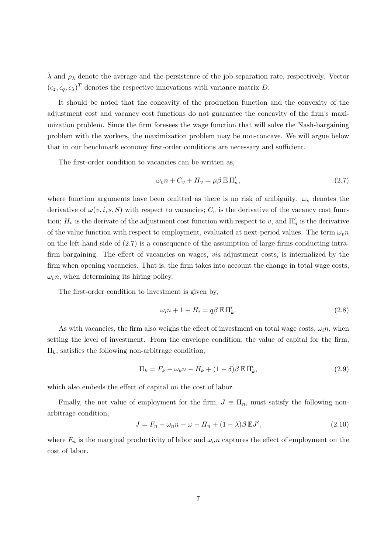$\hat{\lambda}$  and  $\rho_{\lambda}$  denote the average and the persistence of the job separation rate, respectively. Vector  $(\epsilon_z, \epsilon_q, \epsilon_\lambda)^T$  denotes the respective innovations with variance matrix D.

It should be noted that the concavity of the production function and the convexity of the adjustment cost and vacancy cost functions do not guarantee the concavity of the firm's maximization problem. Since the firm foresees the wage function that will solve the Nash-bargaining problem with the workers, the maximization problem may be non-concave. We will argue below that in our benchmark economy first-order conditions are necessary and sufficient.

The first-order condition to vacancies can be written as,

$$
\omega_v n + C_v + H_v = \mu \beta \mathbb{E} \Pi'_n,\tag{2.7}
$$

where function arguments have been omitted as there is no risk of ambiguity.  $\omega_v$  denotes the derivative of  $\omega(v, i, s, S)$  with respect to vacancies;  $C_v$  is the derivative of the vacancy cost function;  $H_v$  is the derivate of the adjustment cost function with respect to v, and  $\Pi'_n$  is the derivative of the value function with respect to employment, evaluated at next-period values. The term  $\omega_n n$ on the left-hand side of (2.7) is a consequence of the assumption of large firms conducting intrafirm bargaining. The effect of vacancies on wages, via adjustment costs, is internalized by the firm when opening vacancies. That is, the firm takes into account the change in total wage costs,  $\omega_v$ n, when determining its hiring policy.

The first-order condition to investment is given by,

$$
\omega_i n + 1 + H_i = q\beta \mathbb{E} \Pi'_k.
$$
\n(2.8)

As with vacancies, the firm also weighs the effect of investment on total wage costs,  $\omega_i n$ , when setting the level of investment. From the envelope condition, the value of capital for the firm,  $\Pi_k$ , satisfies the following non-arbitrage condition,

$$
\Pi_k = F_k - \omega_k n - H_k + (1 - \delta)\beta \mathbb{E} \Pi'_k,\tag{2.9}
$$

which also embeds the effect of capital on the cost of labor.

Finally, the net value of employment for the firm,  $J \equiv \Pi_n$ , must satisfy the following nonarbitrage condition,

$$
J = F_n - \omega_n n - \omega - H_n + (1 - \lambda)\beta \mathbb{E}J',\tag{2.10}
$$

where  $F_n$  is the marginal productivity of labor and  $\omega_n n$  captures the effect of employment on the cost of labor.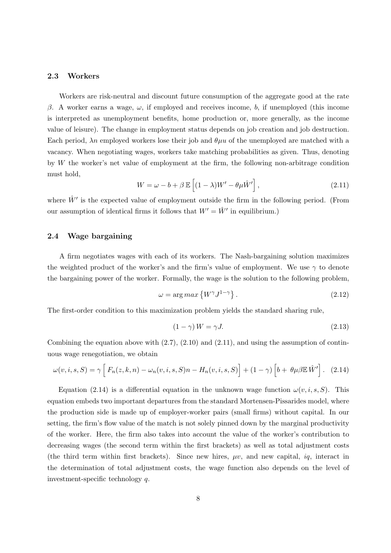#### 2.3 Workers

Workers are risk-neutral and discount future consumption of the aggregate good at the rate β. A worker earns a wage,  $ω$ , if employed and receives income, b, if unemployed (this income is interpreted as unemployment benefits, home production or, more generally, as the income value of leisure). The change in employment status depends on job creation and job destruction. Each period,  $\lambda n$  employed workers lose their job and  $\theta \mu u$  of the unemployed are matched with a vacancy. When negotiating wages, workers take matching probabilities as given. Thus, denoting by W the worker's net value of employment at the firm, the following non-arbitrage condition must hold, h i

$$
W = \omega - b + \beta \mathbb{E}\left[ (1 - \lambda)W' - \theta\mu \hat{W}' \right],
$$
\n(2.11)

where  $\hat{W}'$  is the expected value of employment outside the firm in the following period. (From our assumption of identical firms it follows that  $W' = \hat{W}'$  in equilibrium.)

#### 2.4 Wage bargaining

A firm negotiates wages with each of its workers. The Nash-bargaining solution maximizes the weighted product of the worker's and the firm's value of employment. We use  $\gamma$  to denote the bargaining power of the worker. Formally, the wage is the solution to the following problem,

$$
\omega = \arg \max \left\{ W^{\gamma} J^{1-\gamma} \right\}.
$$
\n(2.12)

The first-order condition to this maximization problem yields the standard sharing rule,

$$
(1 - \gamma)W = \gamma J. \tag{2.13}
$$

Combining the equation above with  $(2.7)$ ,  $(2.10)$  and  $(2.11)$ , and using the assumption of continuous wage renegotiation, we obtain

$$
\omega(v,i,s,S) = \gamma \left[ F_n(z,k,n) - \omega_n(v,i,s,S)n - H_n(v,i,s,S) \right] + (1-\gamma) \left[ b + \theta \mu \beta \mathbb{E} \hat{W}' \right]. \tag{2.14}
$$

Equation (2.14) is a differential equation in the unknown wage function  $\omega(v, i, s, S)$ . This equation embeds two important departures from the standard Mortensen-Pissarides model, where the production side is made up of employer-worker pairs (small firms) without capital. In our setting, the firm's flow value of the match is not solely pinned down by the marginal productivity of the worker. Here, the firm also takes into account the value of the worker's contribution to decreasing wages (the second term within the first brackets) as well as total adjustment costs (the third term within first brackets). Since new hires,  $\mu v$ , and new capital, iq, interact in the determination of total adjustment costs, the wage function also depends on the level of investment-specific technology q.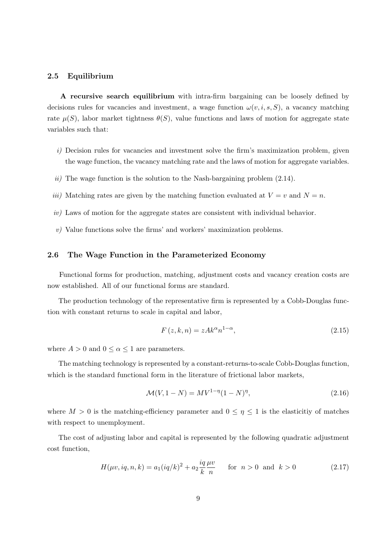#### 2.5 Equilibrium

A recursive search equilibrium with intra-firm bargaining can be loosely defined by decisions rules for vacancies and investment, a wage function  $\omega(v, i, s, S)$ , a vacancy matching rate  $\mu(S)$ , labor market tightness  $\theta(S)$ , value functions and laws of motion for aggregate state variables such that:

- i) Decision rules for vacancies and investment solve the firm's maximization problem, given the wage function, the vacancy matching rate and the laws of motion for aggregate variables.
- ii) The wage function is the solution to the Nash-bargaining problem  $(2.14)$ .
- iii) Matching rates are given by the matching function evaluated at  $V = v$  and  $N = n$ .
- iv) Laws of motion for the aggregate states are consistent with individual behavior.
- $v$ ) Value functions solve the firms' and workers' maximization problems.

#### 2.6 The Wage Function in the Parameterized Economy

Functional forms for production, matching, adjustment costs and vacancy creation costs are now established. All of our functional forms are standard.

The production technology of the representative firm is represented by a Cobb-Douglas function with constant returns to scale in capital and labor,

$$
F(z,k,n) = zAk^{\alpha}n^{1-\alpha},\tag{2.15}
$$

where  $A > 0$  and  $0 \leq \alpha \leq 1$  are parameters.

The matching technology is represented by a constant-returns-to-scale Cobb-Douglas function, which is the standard functional form in the literature of frictional labor markets,

$$
\mathcal{M}(V, 1 - N) = MV^{1 - \eta}(1 - N)^{\eta},\tag{2.16}
$$

where  $M > 0$  is the matching-efficiency parameter and  $0 \leq \eta \leq 1$  is the elasticitiy of matches with respect to unemployment.

The cost of adjusting labor and capital is represented by the following quadratic adjustment cost function,

$$
H(\mu v, iq, n, k) = a_1 (iq/k)^2 + a_2 \frac{iq \mu v}{k n} \quad \text{for } n > 0 \text{ and } k > 0
$$
 (2.17)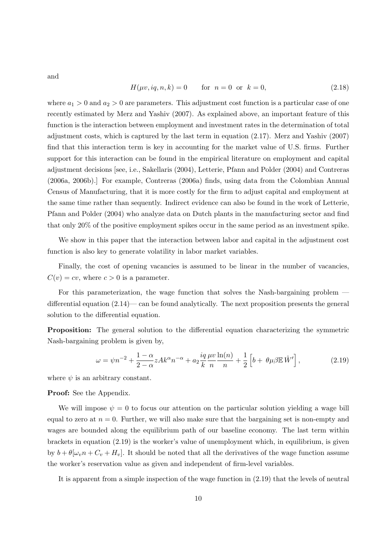and

$$
H(\mu v, iq, n, k) = 0 \tfor n = 0 or k = 0,
$$
\t(2.18)

where  $a_1 > 0$  and  $a_2 > 0$  are parameters. This adjustment cost function is a particular case of one recently estimated by Merz and Yashiv (2007). As explained above, an important feature of this function is the interaction between employment and investment rates in the determination of total adjustment costs, which is captured by the last term in equation (2.17). Merz and Yashiv (2007) find that this interaction term is key in accounting for the market value of U.S. firms. Further support for this interaction can be found in the empirical literature on employment and capital adjustment decisions [see, i.e., Sakellaris (2004), Letterie, Pfann and Polder (2004) and Contreras (2006a, 2006b).] For example, Contreras (2006a) finds, using data from the Colombian Annual Census of Manufacturing, that it is more costly for the firm to adjust capital and employment at the same time rather than sequently. Indirect evidence can also be found in the work of Letterie, Pfann and Polder (2004) who analyze data on Dutch plants in the manufacturing sector and find that only 20% of the positive employment spikes occur in the same period as an investment spike.

We show in this paper that the interaction between labor and capital in the adjustment cost function is also key to generate volatility in labor market variables.

Finally, the cost of opening vacancies is assumed to be linear in the number of vacancies,  $C(v) = cv$ , where  $c > 0$  is a parameter.

For this parameterization, the wage function that solves the Nash-bargaining problem differential equation  $(2.14)$ — can be found analytically. The next proposition presents the general solution to the differential equation.

Proposition: The general solution to the differential equation characterizing the symmetric Nash-bargaining problem is given by,

$$
\omega = \psi n^{-2} + \frac{1 - \alpha}{2 - \alpha} z A k^{\alpha} n^{-\alpha} + a_2 \frac{iq}{k} \frac{\mu v}{n} \frac{\ln(n)}{n} + \frac{1}{2} \left[ b + \theta \mu \beta \mathbb{E} \hat{W}' \right],
$$
 (2.19)

where  $\psi$  is an arbitrary constant.

#### Proof: See the Appendix.

We will impose  $\psi = 0$  to focus our attention on the particular solution yielding a wage bill equal to zero at  $n = 0$ . Further, we will also make sure that the bargaining set is non-empty and wages are bounded along the equilibrium path of our baseline economy. The last term within brackets in equation (2.19) is the worker's value of unemployment which, in equilibrium, is given by  $b + \theta[\omega_v n + C_v + H_v]$ . It should be noted that all the derivatives of the wage function assume the worker's reservation value as given and independent of firm-level variables.

It is apparent from a simple inspection of the wage function in (2.19) that the levels of neutral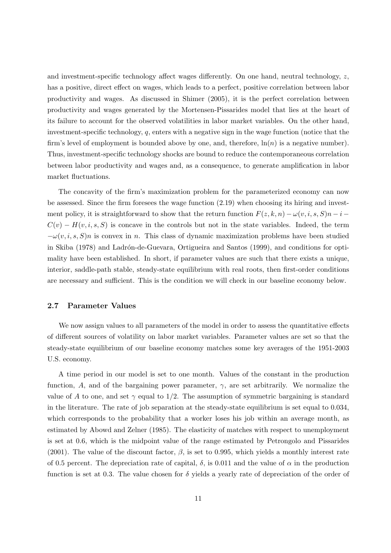and investment-specific technology affect wages differently. On one hand, neutral technology,  $z$ , has a positive, direct effect on wages, which leads to a perfect, positive correlation between labor productivity and wages. As discussed in Shimer (2005), it is the perfect correlation between productivity and wages generated by the Mortensen-Pissarides model that lies at the heart of its failure to account for the observed volatilities in labor market variables. On the other hand, investment-specific technology, q, enters with a negative sign in the wage function (notice that the firm's level of employment is bounded above by one, and, therefore,  $\ln(n)$  is a negative number). Thus, investment-specific technology shocks are bound to reduce the contemporaneous correlation between labor productivity and wages and, as a consequence, to generate amplification in labor market fluctuations.

The concavity of the firm's maximization problem for the parameterized economy can now be assessed. Since the firm foresees the wage function (2.19) when choosing its hiring and investment policy, it is straightforward to show that the return function  $F(z, k, n) - \omega(v, i, s, S)n - i$  $C(v) - H(v, i, s, S)$  is concave in the controls but not in the state variables. Indeed, the term  $-\omega(v, i, s, S)n$  is convex in n. This class of dynamic maximization problems have been studied in Skiba (1978) and Ladrón-de-Guevara, Ortigueira and Santos (1999), and conditions for optimality have been established. In short, if parameter values are such that there exists a unique, interior, saddle-path stable, steady-state equilibrium with real roots, then first-order conditions are necessary and sufficient. This is the condition we will check in our baseline economy below.

#### 2.7 Parameter Values

We now assign values to all parameters of the model in order to assess the quantitative effects of different sources of volatility on labor market variables. Parameter values are set so that the steady-state equilibrium of our baseline economy matches some key averages of the 1951-2003 U.S. economy.

A time period in our model is set to one month. Values of the constant in the production function, A, and of the bargaining power parameter,  $\gamma$ , are set arbitrarily. We normalize the value of A to one, and set  $\gamma$  equal to 1/2. The assumption of symmetric bargaining is standard in the literature. The rate of job separation at the steady-state equilibrium is set equal to 0.034, which corresponds to the probability that a worker loses his job within an average month, as estimated by Abowd and Zelner (1985). The elasticity of matches with respect to unemployment is set at 0.6, which is the midpoint value of the range estimated by Petrongolo and Pissarides (2001). The value of the discount factor,  $\beta$ , is set to 0.995, which yields a monthly interest rate of 0.5 percent. The depreciation rate of capital,  $\delta$ , is 0.011 and the value of  $\alpha$  in the production function is set at 0.3. The value chosen for  $\delta$  yields a yearly rate of depreciation of the order of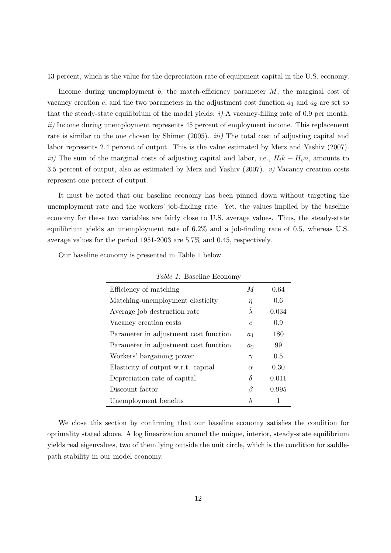13 percent, which is the value for the depreciation rate of equipment capital in the U.S. economy.

Income during unemployment b, the match-efficiency parameter M, the marginal cost of vacancy creation c, and the two parameters in the adjustment cost function  $a_1$  and  $a_2$  are set so that the steady-state equilibrium of the model yields:  $i)$  A vacancy-filling rate of 0.9 per month. ii) Income during unemployment represents 45 percent of employment income. This replacement rate is similar to the one chosen by Shimer (2005). *iii*) The total cost of adjusting capital and labor represents 2.4 percent of output. This is the value estimated by Merz and Yashiv (2007). iv) The sum of the marginal costs of adjusting capital and labor, i.e.,  $H_i k + H_i n$ , amounts to 3.5 percent of output, also as estimated by Merz and Yashiv (2007).  $v$ ) Vacancy creation costs represent one percent of output.

It must be noted that our baseline economy has been pinned down without targeting the unemployment rate and the workers' job-finding rate. Yet, the values implied by the baseline economy for these two variables are fairly close to U.S. average values. Thus, the steady-state equilibrium yields an unemployment rate of 6.2% and a job-finding rate of 0.5, whereas U.S. average values for the period 1951-2003 are 5.7% and 0.45, respectively.

| <i>Table 1:</i> Baseline Economy      |                |       |  |  |  |
|---------------------------------------|----------------|-------|--|--|--|
| Efficiency of matching                | $\overline{M}$ | 0.64  |  |  |  |
| Matching-unemployment elasticity      | $\eta$         | 0.6   |  |  |  |
| Average job destruction rate          | Ä              | 0.034 |  |  |  |
| Vacancy creation costs                | $\epsilon$     | 0.9   |  |  |  |
| Parameter in adjustment cost function | $a_1$          | 180   |  |  |  |
| Parameter in adjustment cost function | a <sub>2</sub> | 99    |  |  |  |
| Workers' bargaining power             | $\gamma$       | 0.5   |  |  |  |
| Elasticity of output w.r.t. capital   | $\alpha$       | 0.30  |  |  |  |
| Depreciation rate of capital          | $\delta$       | 0.011 |  |  |  |
| Discount factor                       | $\beta$        | 0.995 |  |  |  |
| Unemployment benefits                 | b              | 1     |  |  |  |

Our baseline economy is presented in Table 1 below.

We close this section by confirming that our baseline economy satisfies the condition for optimality stated above. A log linearization around the unique, interior, steady-state equilibrium yields real eigenvalues, two of them lying outside the unit circle, which is the condition for saddlepath stability in our model economy.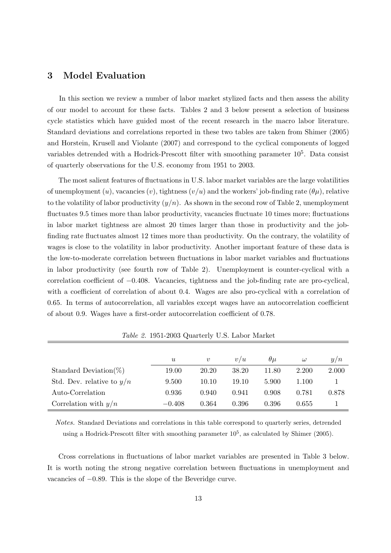## 3 Model Evaluation

In this section we review a number of labor market stylized facts and then assess the ability of our model to account for these facts. Tables 2 and 3 below present a selection of business cycle statistics which have guided most of the recent research in the macro labor literature. Standard deviations and correlations reported in these two tables are taken from Shimer (2005) and Horstein, Krusell and Violante (2007) and correspond to the cyclical components of logged variables detrended with a Hodrick-Prescott filter with smoothing parameter  $10^5$ . Data consist of quarterly observations for the U.S. economy from 1951 to 2003.

The most salient features of fluctuations in U.S. labor market variables are the large volatilities of unemployment (u), vacancies (v), tightness ( $v/u$ ) and the workers' job-finding rate ( $\theta\mu$ ), relative to the volatility of labor productivity  $(y/n)$ . As shown in the second row of Table 2, unemployment fluctuates 9.5 times more than labor productivity, vacancies fluctuate 10 times more; fluctuations in labor market tightness are almost 20 times larger than those in productivity and the jobfinding rate fluctuates almost 12 times more than productivity. On the contrary, the volatility of wages is close to the volatility in labor productivity. Another important feature of these data is the low-to-moderate correlation between fluctuations in labor market variables and fluctuations in labor productivity (see fourth row of Table 2). Unemployment is counter-cyclical with a correlation coefficient of −0.408. Vacancies, tightness and the job-finding rate are pro-cyclical, with a coefficient of correlation of about 0.4. Wages are also pro-cyclical with a correlation of 0.65. In terms of autocorrelation, all variables except wages have an autocorrelation coefficient of about 0.9. Wages have a first-order autocorrelation coefficient of 0.78.

|                             | $\boldsymbol{u}$ | $\boldsymbol{v}$ | v/u   | $\theta\mu$ | $\omega$ | y/n   |
|-----------------------------|------------------|------------------|-------|-------------|----------|-------|
| Standard Deviation(%)       | 19.00            | 20.20            | 38.20 | 11.80       | 2.200    | 2.000 |
| Std. Dev. relative to $y/n$ | 9.500            | 10.10            | 19.10 | 5.900       | 1.100    |       |
| Auto-Correlation            | 0.936            | 0.940            | 0.941 | 0.908       | 0.781    | 0.878 |
| Correlation with $y/n$      | $-0.408$         | 0.364            | 0.396 | 0.396       | 0.655    |       |

Table 2. 1951-2003 Quarterly U.S. Labor Market

Notes. Standard Deviations and correlations in this table correspond to quarterly series, detrended using a Hodrick-Prescott filter with smoothing parameter  $10^5$ , as calculated by Shimer (2005).

Cross correlations in fluctuations of labor market variables are presented in Table 3 below. It is worth noting the strong negative correlation between fluctuations in unemployment and vacancies of −0.89. This is the slope of the Beveridge curve.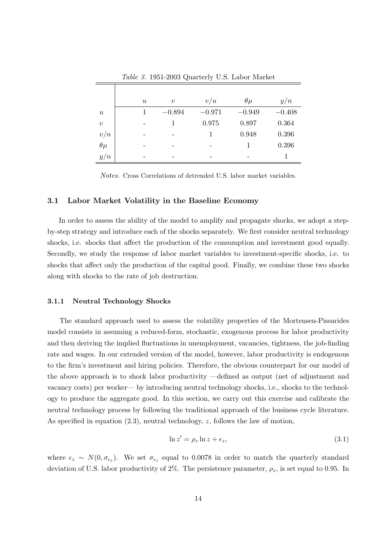|                           | $\boldsymbol{\mathit{u}}$ | $\boldsymbol{v}$ | v/u      | $\theta\mu$ | y/n      |
|---------------------------|---------------------------|------------------|----------|-------------|----------|
| $\boldsymbol{\mathit{u}}$ |                           | $-0.894$         | $-0.971$ | $-0.949$    | $-0.408$ |
| $\boldsymbol{v}$          |                           | 1                | 0.975    | 0.897       | 0.364    |
| v/n                       |                           |                  |          | 0.948       | 0.396    |
| $\theta\mu$               |                           |                  |          |             | 0.396    |
| y/n                       | -                         | -                | -        |             |          |

Table 3. 1951-2003 Quarterly U.S. Labor Market

Notes. Cross Correlations of detrended U.S. labor market variables.

#### 3.1 Labor Market Volatility in the Baseline Economy

In order to assess the ability of the model to amplify and propagate shocks, we adopt a stepby-step strategy and introduce each of the shocks separately. We first consider neutral technology shocks, i.e. shocks that affect the production of the consumption and investment good equally. Secondly, we study the response of labor market variables to investment-specific shocks, i.e. to shocks that affect only the production of the capital good. Finally, we combine these two shocks along with shocks to the rate of job destruction.

#### 3.1.1 Neutral Technology Shocks

The standard approach used to assess the volatility properties of the Mortensen-Pissarides model consists in assuming a reduced-form, stochastic, exogenous process for labor productivity and then deriving the implied fluctuations in unemployment, vacancies, tightness, the job-finding rate and wages. In our extended version of the model, however, labor productivity is endogenous to the firm's investment and hiring policies. Therefore, the obvious counterpart for our model of the above approach is to shock labor productivity —defined as output (net of adjustment and vacancy costs) per worker— by introducing neutral technology shocks, i.e., shocks to the technology to produce the aggregate good. In this section, we carry out this exercise and calibrate the neutral technology process by following the traditional approach of the business cycle literature. As specified in equation (2.3), neutral technology, z, follows the law of motion,

$$
\ln z' = \rho_z \ln z + \epsilon_z,\tag{3.1}
$$

where  $\epsilon_z \sim N(0, \sigma_{\epsilon_z})$ . We set  $\sigma_{\epsilon_z}$  equal to 0.0078 in order to match the quarterly standard deviation of U.S. labor productivity of 2%. The persistence parameter,  $\rho_z$ , is set equal to 0.95. In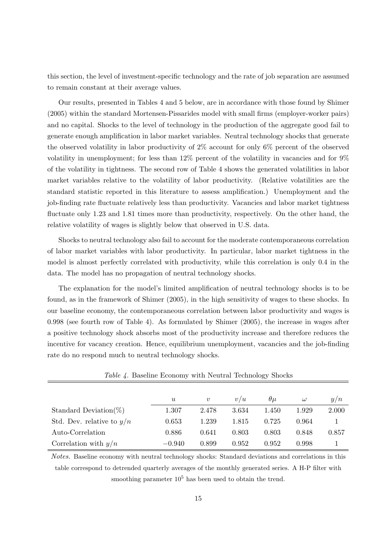this section, the level of investment-specific technology and the rate of job separation are assumed to remain constant at their average values.

Our results, presented in Tables 4 and 5 below, are in accordance with those found by Shimer (2005) within the standard Mortensen-Pissarides model with small firms (employer-worker pairs) and no capital. Shocks to the level of technology in the production of the aggregate good fail to generate enough amplification in labor market variables. Neutral technology shocks that generate the observed volatility in labor productivity of 2% account for only 6% percent of the observed volatility in unemployment; for less than 12% percent of the volatility in vacancies and for 9% of the volatility in tightness. The second row of Table 4 shows the generated volatilities in labor market variables relative to the volatility of labor productivity. (Relative volatilities are the standard statistic reported in this literature to assess amplification.) Unemployment and the job-finding rate fluctuate relatively less than productivity. Vacancies and labor market tightness fluctuate only 1.23 and 1.81 times more than productivity, respectively. On the other hand, the relative volatility of wages is slightly below that observed in U.S. data.

Shocks to neutral technology also fail to account for the moderate contemporaneous correlation of labor market variables with labor productivity. In particular, labor market tightness in the model is almost perfectly correlated with productivity, while this correlation is only 0.4 in the data. The model has no propagation of neutral technology shocks.

The explanation for the model's limited amplification of neutral technology shocks is to be found, as in the framework of Shimer (2005), in the high sensitivity of wages to these shocks. In our baseline economy, the contemporaneous correlation between labor productivity and wages is 0.998 (see fourth row of Table 4). As formulated by Shimer (2005), the increase in wages after a positive technology shock absorbs most of the productivity increase and therefore reduces the incentive for vacancy creation. Hence, equilibrium unemployment, vacancies and the job-finding rate do no respond much to neutral technology shocks.

|                             | $\boldsymbol{u}$ | $\boldsymbol{v}$ | v/u   | $\theta\mu$ | $\omega$ | y/n   |
|-----------------------------|------------------|------------------|-------|-------------|----------|-------|
| Standard Deviation( $\%)$   | 1.307            | 2.478            | 3.634 | 1.450       | 1.929    | 2.000 |
| Std. Dev. relative to $y/n$ | 0.653            | 1.239            | 1.815 | 0.725       | 0.964    |       |
| Auto-Correlation            | 0.886            | 0.641            | 0.803 | 0.803       | 0.848    | 0.857 |
| Correlation with $y/n$      | $-0.940$         | 0.899            | 0.952 | 0.952       | 0.998    |       |

Table 4. Baseline Economy with Neutral Technology Shocks

Notes. Baseline economy with neutral technology shocks: Standard deviations and correlations in this table correspond to detrended quarterly averages of the monthly generated series. A H-P filter with smoothing parameter  $10^5$  has been used to obtain the trend.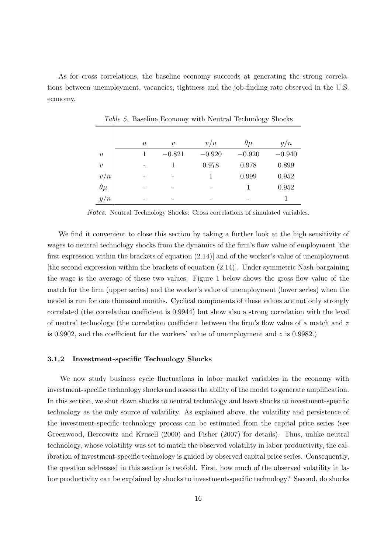As for cross correlations, the baseline economy succeeds at generating the strong correlations between unemployment, vacancies, tightness and the job-finding rate observed in the U.S. economy.

|                           | $\boldsymbol{\mathit{u}}$ | $\boldsymbol{v}$ | v/u      | $\theta\mu$ | y/n      |
|---------------------------|---------------------------|------------------|----------|-------------|----------|
| $\boldsymbol{\mathit{u}}$ |                           | $-0.821$         | $-0.920$ | $-0.920$    | $-0.940$ |
| $\boldsymbol{v}$          |                           |                  | 0.978    | 0.978       | 0.899    |
| v/n                       |                           |                  |          | 0.999       | 0.952    |
| $\theta\mu$               |                           |                  |          |             | 0.952    |
| y/n                       |                           |                  |          |             |          |

Table 5. Baseline Economy with Neutral Technology Shocks

Notes. Neutral Technology Shocks: Cross correlations of simulated variables.

We find it convenient to close this section by taking a further look at the high sensitivity of wages to neutral technology shocks from the dynamics of the firm's flow value of employment [the first expression within the brackets of equation (2.14)] and of the worker's value of unemployment [the second expression within the brackets of equation  $(2.14)$ ]. Under symmetric Nash-bargaining the wage is the average of these two values. Figure 1 below shows the gross flow value of the match for the firm (upper series) and the worker's value of unemployment (lower series) when the model is run for one thousand months. Cyclical components of these values are not only strongly correlated (the correlation coefficient is 0.9944) but show also a strong correlation with the level of neutral technology (the correlation coefficient between the firm's flow value of a match and  $z$ is 0.9902, and the coefficient for the workers' value of unemployment and  $z$  is 0.9982.)

#### 3.1.2 Investment-specific Technology Shocks

We now study business cycle fluctuations in labor market variables in the economy with investment-specific technology shocks and assess the ability of the model to generate amplification. In this section, we shut down shocks to neutral technology and leave shocks to investment-specific technology as the only source of volatility. As explained above, the volatility and persistence of the investment-specific technology process can be estimated from the capital price series (see Greenwood, Hercowitz and Krusell (2000) and Fisher (2007) for details). Thus, unlike neutral technology, whose volatility was set to match the observed volatility in labor productivity, the calibration of investment-specific technology is guided by observed capital price series. Consequently, the question addressed in this section is twofold. First, how much of the observed volatility in labor productivity can be explained by shocks to investment-specific technology? Second, do shocks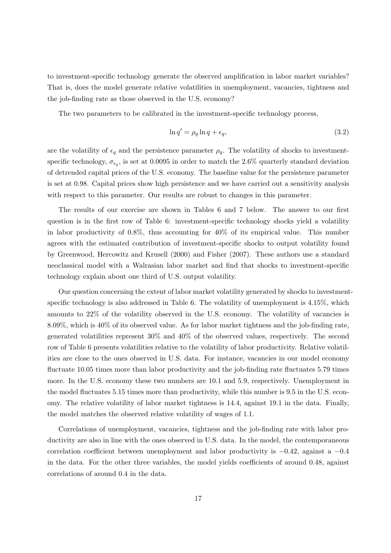to investment-specific technology generate the observed amplification in labor market variables? That is, does the model generate relative volatilities in unemployment, vacancies, tightness and the job-finding rate as those observed in the U.S. economy?

The two parameters to be calibrated in the investment-specific technology process,

$$
\ln q' = \rho_q \ln q + \epsilon_q,\tag{3.2}
$$

are the volatility of  $\epsilon_q$  and the persistence parameter  $\rho_q$ . The volatility of shocks to investmentspecific technology,  $\sigma_{\epsilon_q}$ , is set at 0.0095 in order to match the 2.6% quarterly standard deviation of detrended capital prices of the U.S. economy. The baseline value for the persistence parameter is set at 0.98. Capital prices show high persistence and we have carried out a sensitivity analysis with respect to this parameter. Our results are robust to changes in this parameter.

The results of our exercise are shown in Tables 6 and 7 below. The answer to our first question is in the first row of Table 6: investment-specific technology shocks yield a volatility in labor productivity of 0.8%, thus accounting for 40% of its empirical value. This number agrees with the estimated contribution of investment-specific shocks to output volatility found by Greenwood, Hercowitz and Krusell (2000) and Fisher (2007). These authors use a standard neoclassical model with a Walrasian labor market and find that shocks to investment-specific technology explain about one third of U.S. output volatility.

Our question concerning the extent of labor market volatility generated by shocks to investmentspecific technology is also addressed in Table 6. The volatility of unemployment is 4.15%, which amounts to 22% of the volatility observed in the U.S. economy. The volatility of vacancies is 8.09%, which is 40% of its observed value. As for labor market tightness and the job-finding rate, generated volatilities represent 30% and 40% of the observed values, respectively. The second row of Table 6 presents volatilities relative to the volatility of labor productivity. Relative volatilities are close to the ones observed in U.S. data. For instance, vacancies in our model economy fluctuate 10.05 times more than labor productivity and the job-finding rate fluctuates 5.79 times more. In the U.S. economy these two numbers are 10.1 and 5.9, respectively. Unemployment in the model fluctuates 5.15 times more than productivity, while this number is 9.5 in the U.S. economy. The relative volatility of labor market tightness is 14.4, against 19.1 in the data. Finally, the model matches the observed relative volatility of wages of 1.1.

Correlations of unemployment, vacancies, tightness and the job-finding rate with labor productivity are also in line with the ones observed in U.S. data. In the model, the contemporaneous correlation coefficient between unemployment and labor productivity is  $-0.42$ , against a  $-0.4$ in the data. For the other three variables, the model yields coefficients of around 0.48, against correlations of around 0.4 in the data.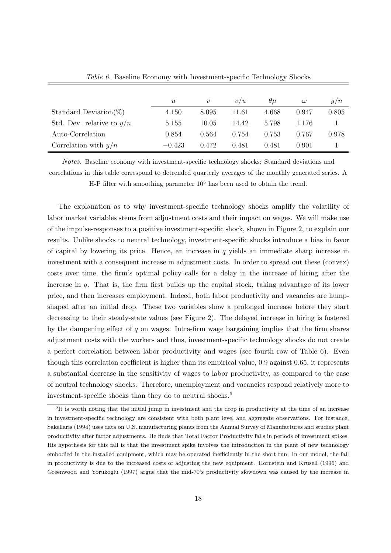|                             | $\boldsymbol{u}$ | $\boldsymbol{v}$ | v/u   | $\theta\mu$ | $\omega$ | y/n   |
|-----------------------------|------------------|------------------|-------|-------------|----------|-------|
| Standard Deviation( $\%$ )  | 4.150            | 8.095            | 11.61 | 4.668       | 0.947    | 0.805 |
| Std. Dev. relative to $y/n$ | 5.155            | 10.05            | 14.42 | 5.798       | 1.176    |       |
| Auto-Correlation            | 0.854            | 0.564            | 0.754 | 0.753       | 0.767    | 0.978 |
| Correlation with $y/n$      | $-0.423$         | 0.472            | 0.481 | 0.481       | 0.901    |       |

Table 6. Baseline Economy with Investment-specific Technology Shocks

Notes. Baseline economy with investment-specific technology shocks: Standard deviations and correlations in this table correspond to detrended quarterly averages of the monthly generated series. A H-P filter with smoothing parameter  $10^5$  has been used to obtain the trend.

The explanation as to why investment-specific technology shocks amplify the volatility of labor market variables stems from adjustment costs and their impact on wages. We will make use of the impulse-responses to a positive investment-specific shock, shown in Figure 2, to explain our results. Unlike shocks to neutral technology, investment-specific shocks introduce a bias in favor of capital by lowering its price. Hence, an increase in  $q$  yields an immediate sharp increase in investment with a consequent increase in adjustment costs. In order to spread out these (convex) costs over time, the firm's optimal policy calls for a delay in the increase of hiring after the increase in  $q$ . That is, the firm first builds up the capital stock, taking advantage of its lower price, and then increases employment. Indeed, both labor productivity and vacancies are humpshaped after an initial drop. These two variables show a prolonged increase before they start decreasing to their steady-state values (see Figure 2). The delayed increase in hiring is fostered by the dampening effect of q on wages. Intra-firm wage bargaining implies that the firm shares adjustment costs with the workers and thus, investment-specific technology shocks do not create a perfect correlation between labor productivity and wages (see fourth row of Table 6). Even though this correlation coefficient is higher than its empirical value, 0.9 against 0.65, it represents a substantial decrease in the sensitivity of wages to labor productivity, as compared to the case of neutral technology shocks. Therefore, unemployment and vacancies respond relatively more to investment-specific shocks than they do to neutral shocks. $6$ 

<sup>&</sup>lt;sup>6</sup>It is worth noting that the initial jump in investment and the drop in productivity at the time of an increase in investment-specific technology are consistent with both plant level and aggregate observations. For instance, Sakellaris (1994) uses data on U.S. manufacturing plants from the Annual Survey of Manufactures and studies plant productivity after factor adjustments. He finds that Total Factor Productivity falls in periods of investment spikes. His hypothesis for this fall is that the investment spike involves the introduction in the plant of new technology embodied in the installed equipment, which may be operated inefficiently in the short run. In our model, the fall in productivity is due to the increased costs of adjusting the new equipment. Hornstein and Krusell (1996) and Greenwood and Yorukoglu (1997) argue that the mid-70's productivity slowdown was caused by the increase in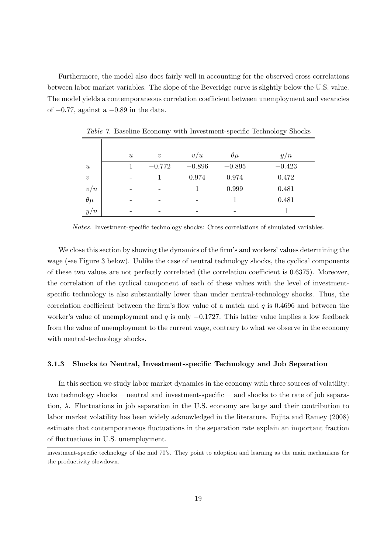Furthermore, the model also does fairly well in accounting for the observed cross correlations between labor market variables. The slope of the Beveridge curve is slightly below the U.S. value. The model yields a contemporaneous correlation coefficient between unemployment and vacancies of  $-0.77$ , against a  $-0.89$  in the data.

|                  | $\boldsymbol{u}$         | $\boldsymbol{v}$ | v/u      | $\theta\mu$ | y/n      |
|------------------|--------------------------|------------------|----------|-------------|----------|
| $\boldsymbol{u}$ |                          | $-0.772$         | $-0.896$ | $-0.895$    | $-0.423$ |
| $\boldsymbol{v}$ | $\overline{\phantom{a}}$ |                  | 0.974    | 0.974       | 0.472    |
| v/n              | -                        |                  |          | 0.999       | 0.481    |
| $\theta\mu$      |                          |                  |          |             | 0.481    |
| y/n              |                          |                  |          |             |          |

Table 7. Baseline Economy with Investment-specific Technology Shocks

Notes. Investment-specific technology shocks: Cross correlations of simulated variables.

We close this section by showing the dynamics of the firm's and workers' values determining the wage (see Figure 3 below). Unlike the case of neutral technology shocks, the cyclical components of these two values are not perfectly correlated (the correlation coefficient is 0.6375). Moreover, the correlation of the cyclical component of each of these values with the level of investmentspecific technology is also substantially lower than under neutral-technology shocks. Thus, the correlation coefficient between the firm's flow value of a match and  $q$  is 0.4696 and between the worker's value of unemployment and q is only  $-0.1727$ . This latter value implies a low feedback from the value of unemployment to the current wage, contrary to what we observe in the economy with neutral-technology shocks.

#### 3.1.3 Shocks to Neutral, Investment-specific Technology and Job Separation

In this section we study labor market dynamics in the economy with three sources of volatility: two technology shocks —neutral and investment-specific— and shocks to the rate of job separation,  $\lambda$ . Fluctuations in job separation in the U.S. economy are large and their contribution to labor market volatility has been widely acknowledged in the literature. Fujita and Ramey (2008) estimate that contemporaneous fluctuations in the separation rate explain an important fraction of fluctuations in U.S. unemployment.

investment-specific technology of the mid 70's. They point to adoption and learning as the main mechanisms for the productivity slowdown.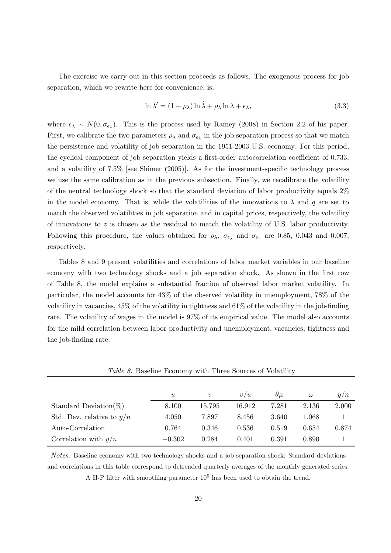The exercise we carry out in this section proceeds as follows. The exogenous process for job separation, which we rewrite here for convenience, is,

$$
\ln \lambda' = (1 - \rho_{\lambda}) \ln \hat{\lambda} + \rho_{\lambda} \ln \lambda + \epsilon_{\lambda}, \tag{3.3}
$$

where  $\epsilon_{\lambda} \sim N(0, \sigma_{\epsilon_{\lambda}})$ . This is the process used by Ramey (2008) in Section 2.2 of his paper. First, we calibrate the two parameters  $\rho_{\lambda}$  and  $\sigma_{\epsilon_{\lambda}}$  in the job separation process so that we match the persistence and volatility of job separation in the 1951-2003 U.S. economy. For this period, the cyclical component of job separation yields a first-order autocorrelation coefficient of 0.733, and a volatility of 7.5% [see Shimer (2005)]. As for the investment-specific technology process we use the same calibration as in the previous subsection. Finally, we recalibrate the volatility of the neutral technology shock so that the standard deviation of labor productivity equals 2% in the model economy. That is, while the volatilities of the innovations to  $\lambda$  and q are set to match the observed volatilities in job separation and in capital prices, respectively, the volatility of innovations to z is chosen as the residual to match the volatility of U.S. labor productivity. Following this procedure, the values obtained for  $\rho_{\lambda}$ ,  $\sigma_{\epsilon_{\lambda}}$  and  $\sigma_{\epsilon_{z}}$  are 0.85, 0.043 and 0.007, respectively.

Tables 8 and 9 present volatilities and correlations of labor market variables in our baseline economy with two technology shocks and a job separation shock. As shown in the first row of Table 8, the model explains a substantial fraction of observed labor market volatility. In particular, the model accounts for 43% of the observed volatility in unemployment, 78% of the volatility in vacancies, 45% of the volatility in tightness and 61% of the volatility in the job-finding rate. The volatility of wages in the model is 97% of its empirical value. The model also accounts for the mild correlation between labor productivity and unemployment, vacancies, tightness and the job-finding rate.

| <i>rative of Dasemie Economy with Three Sources of Volating</i> |                  |                  |        |             |          |       |
|-----------------------------------------------------------------|------------------|------------------|--------|-------------|----------|-------|
|                                                                 |                  |                  |        |             |          |       |
|                                                                 | $\boldsymbol{u}$ | $\boldsymbol{v}$ | v/u    | $\theta\mu$ | $\omega$ | y/n   |
| Standard Deviation( $\%)$                                       | 8.100            | 15.795           | 16.912 | 7.281       | 2.136    | 2.000 |
| Std. Dev. relative to $y/n$                                     | 4.050            | 7.897            | 8.456  | 3.640       | 1.068    |       |
| Auto-Correlation                                                | 0.764            | 0.346            | 0.536  | 0.519       | 0.654    | 0.874 |
| Correlation with $y/n$                                          | $-0.302$         | 0.284            | 0.401  | 0.391       | 0.890    |       |

Table 8. Baseline Economy with Three Sources of Volatility

Notes. Baseline economy with two technology shocks and a job separation shock: Standard deviations and correlations in this table correspond to detrended quarterly averages of the monthly generated series.

A H-P filter with smoothing parameter  $10^5$  has been used to obtain the trend.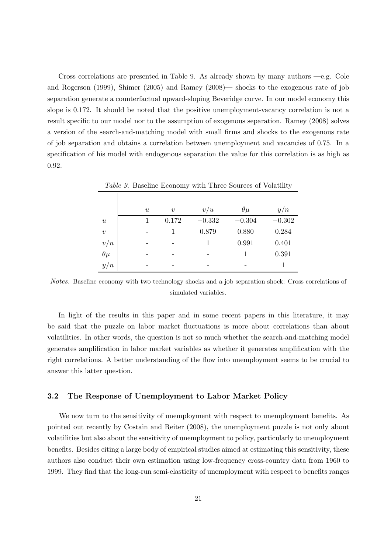Cross correlations are presented in Table 9. As already shown by many authors  $-e.g.$  Cole and Rogerson (1999), Shimer (2005) and Ramey (2008)— shocks to the exogenous rate of job separation generate a counterfactual upward-sloping Beveridge curve. In our model economy this slope is 0.172. It should be noted that the positive unemployment-vacancy correlation is not a result specific to our model nor to the assumption of exogenous separation. Ramey (2008) solves a version of the search-and-matching model with small firms and shocks to the exogenous rate of job separation and obtains a correlation between unemployment and vacancies of 0.75. In a specification of his model with endogenous separation the value for this correlation is as high as 0.92.

|                               |                  |                     | Table 9. Baseline Economy with Three Sources of Volatility |             |          |
|-------------------------------|------------------|---------------------|------------------------------------------------------------|-------------|----------|
|                               |                  |                     |                                                            |             |          |
|                               | $\boldsymbol{u}$ | $\boldsymbol{\eta}$ | v/u                                                        | $\theta\mu$ | y/n      |
| $\boldsymbol{u}$              |                  | 0.172               | $-0.332$                                                   | $-0.304$    | $-0.302$ |
| $\boldsymbol{v}$              |                  |                     | 0.879                                                      | 0.880       | 0.284    |
| v/n                           |                  |                     |                                                            | 0.991       | 0.401    |
| $\overset{\prime}{\theta\mu}$ |                  |                     |                                                            |             | 0.391    |
| y/n                           |                  |                     |                                                            |             |          |

Notes. Baseline economy with two technology shocks and a job separation shock: Cross correlations of simulated variables.

In light of the results in this paper and in some recent papers in this literature, it may be said that the puzzle on labor market fluctuations is more about correlations than about volatilities. In other words, the question is not so much whether the search-and-matching model generates amplification in labor market variables as whether it generates amplification with the right correlations. A better understanding of the flow into unemployment seems to be crucial to answer this latter question.

#### 3.2 The Response of Unemployment to Labor Market Policy

We now turn to the sensitivity of unemployment with respect to unemployment benefits. As pointed out recently by Costain and Reiter (2008), the unemployment puzzle is not only about volatilities but also about the sensitivity of unemployment to policy, particularly to unemployment benefits. Besides citing a large body of empirical studies aimed at estimating this sensitivity, these authors also conduct their own estimation using low-frequency cross-country data from 1960 to 1999. They find that the long-run semi-elasticity of unemployment with respect to benefits ranges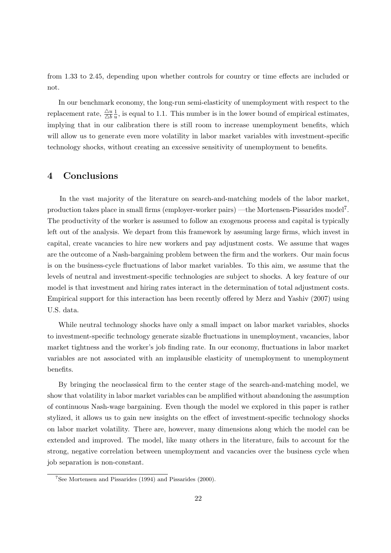from 1.33 to 2.45, depending upon whether controls for country or time effects are included or not.

In our benchmark economy, the long-run semi-elasticity of unemployment with respect to the replacement rate,  $\frac{\triangle u}{\triangle b}$ 1  $\frac{1}{u}$ , is equal to 1.1. This number is in the lower bound of empirical estimates, implying that in our calibration there is still room to increase unemployment benefits, which will allow us to generate even more volatility in labor market variables with investment-specific technology shocks, without creating an excessive sensitivity of unemployment to benefits.

### 4 Conclusions

In the vast majority of the literature on search-and-matching models of the labor market, production takes place in small firms (employer-worker pairs) — the Mortensen-Pissarides model<sup>7</sup>. The productivity of the worker is assumed to follow an exogenous process and capital is typically left out of the analysis. We depart from this framework by assuming large firms, which invest in capital, create vacancies to hire new workers and pay adjustment costs. We assume that wages are the outcome of a Nash-bargaining problem between the firm and the workers. Our main focus is on the business-cycle fluctuations of labor market variables. To this aim, we assume that the levels of neutral and investment-specific technologies are subject to shocks. A key feature of our model is that investment and hiring rates interact in the determination of total adjustment costs. Empirical support for this interaction has been recently offered by Merz and Yashiv (2007) using U.S. data.

While neutral technology shocks have only a small impact on labor market variables, shocks to investment-specific technology generate sizable fluctuations in unemployment, vacancies, labor market tightness and the worker's job finding rate. In our economy, fluctuations in labor market variables are not associated with an implausible elasticity of unemployment to unemployment benefits.

By bringing the neoclassical firm to the center stage of the search-and-matching model, we show that volatility in labor market variables can be amplified without abandoning the assumption of continuous Nash-wage bargaining. Even though the model we explored in this paper is rather stylized, it allows us to gain new insights on the effect of investment-specific technology shocks on labor market volatility. There are, however, many dimensions along which the model can be extended and improved. The model, like many others in the literature, fails to account for the strong, negative correlation between unemployment and vacancies over the business cycle when job separation is non-constant.

<sup>7</sup>See Mortensen and Pissarides (1994) and Pissarides (2000).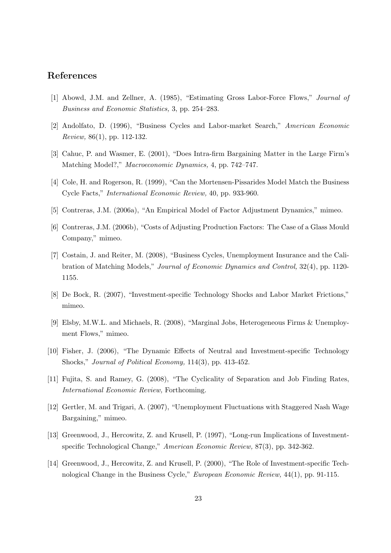## References

- [1] Abowd, J.M. and Zellner, A. (1985), "Estimating Gross Labor-Force Flows," Journal of Business and Economic Statistics, 3, pp. 254–283.
- [2] Andolfato, D. (1996), "Business Cycles and Labor-market Search," American Economic Review, 86(1), pp. 112-132.
- [3] Cahuc, P. and Wasmer, E. (2001), "Does Intra-firm Bargaining Matter in the Large Firm's Matching Model?," Macroeconomic Dynamics, 4, pp. 742–747.
- [4] Cole, H. and Rogerson, R. (1999), "Can the Mortensen-Pissarides Model Match the Business Cycle Facts," International Economic Review, 40, pp. 933-960.
- [5] Contreras, J.M. (2006a), "An Empirical Model of Factor Adjustment Dynamics," mimeo.
- [6] Contreras, J.M. (2006b), "Costs of Adjusting Production Factors: The Case of a Glass Mould Company," mimeo.
- [7] Costain, J. and Reiter, M. (2008), "Business Cycles, Unemployment Insurance and the Calibration of Matching Models," Journal of Economic Dynamics and Control, 32(4), pp. 1120- 1155.
- [8] De Bock, R. (2007), "Investment-specific Technology Shocks and Labor Market Frictions," mimeo.
- [9] Elsby, M.W.L. and Michaels, R. (2008), "Marginal Jobs, Heterogeneous Firms & Unemployment Flows," mimeo.
- [10] Fisher, J. (2006), "The Dynamic Effects of Neutral and Investment-specific Technology Shocks," Journal of Political Economy, 114(3), pp. 413-452.
- [11] Fujita, S. and Ramey, G. (2008), "The Cyclicality of Separation and Job Finding Rates, International Economic Review, Forthcoming.
- [12] Gertler, M. and Trigari, A. (2007), "Unemployment Fluctuations with Staggered Nash Wage Bargaining," mimeo.
- [13] Greenwood, J., Hercowitz, Z. and Krusell, P. (1997), "Long-run Implications of Investmentspecific Technological Change," American Economic Review, 87(3), pp. 342-362.
- [14] Greenwood, J., Hercowitz, Z. and Krusell, P. (2000), "The Role of Investment-specific Technological Change in the Business Cycle," European Economic Review, 44(1), pp. 91-115.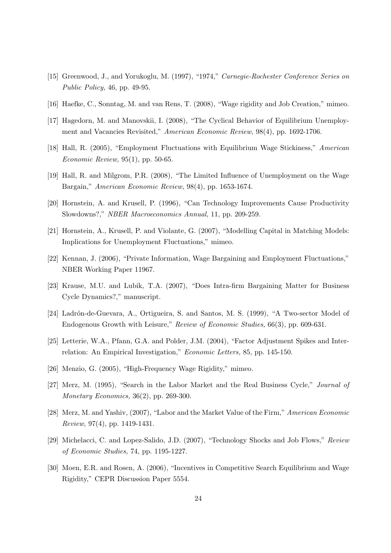- [15] Greenwood, J., and Yorukoglu, M. (1997), "1974," Carnegie-Rochester Conference Series on Public Policy, 46, pp. 49-95.
- [16] Haefke, C., Sonntag, M. and van Rens, T. (2008), "Wage rigidity and Job Creation," mimeo.
- [17] Hagedorn, M. and Manovskii, I. (2008), "The Cyclical Behavior of Equilibrium Unemployment and Vacancies Revisited," American Economic Review, 98(4), pp. 1692-1706.
- [18] Hall, R. (2005), "Employment Fluctuations with Equilibrium Wage Stickiness," American Economic Review, 95(1), pp. 50-65.
- [19] Hall, R. and Milgrom, P.R. (2008), "The Limited Influence of Unemployment on the Wage Bargain," American Economic Review, 98(4), pp. 1653-1674.
- [20] Hornstein, A. and Krusell, P. (1996), "Can Technology Improvements Cause Productivity Slowdowns?," NBER Macroeconomics Annual, 11, pp. 209-259.
- [21] Hornstein, A., Krusell, P. and Violante, G. (2007), "Modelling Capital in Matching Models: Implications for Unemployment Fluctuations," mimeo.
- [22] Kennan, J. (2006), "Private Information, Wage Bargaining and Employment Fluctuations," NBER Working Paper 11967.
- [23] Krause, M.U. and Lubik, T.A. (2007), "Does Intra-firm Bargaining Matter for Business Cycle Dynamics?," manuscript.
- [24] Ladrón-de-Guevara, A., Ortigueira, S. and Santos, M. S. (1999), "A Two-sector Model of Endogenous Growth with Leisure," Review of Economic Studies, 66(3), pp. 609-631.
- [25] Letterie, W.A., Pfann, G.A. and Polder, J.M. (2004), "Factor Adjustment Spikes and Interrelation: An Empirical Investigation," Economic Letters, 85, pp. 145-150.
- [26] Menzio, G. (2005), "High-Frequency Wage Rigidity," mimeo.
- [27] Merz, M. (1995), "Search in the Labor Market and the Real Business Cycle," Journal of Monetary Economics, 36(2), pp. 269-300.
- [28] Merz, M. and Yashiv, (2007), "Labor and the Market Value of the Firm," American Economic Review, 97(4), pp. 1419-1431.
- [29] Michelacci, C. and Lopez-Salido, J.D. (2007), "Technology Shocks and Job Flows," Review of Economic Studies, 74, pp. 1195-1227.
- [30] Moen, E.R. and Rosen, A. (2006), "Incentives in Competitive Search Equilibrium and Wage Rigidity," CEPR Discussion Paper 5554.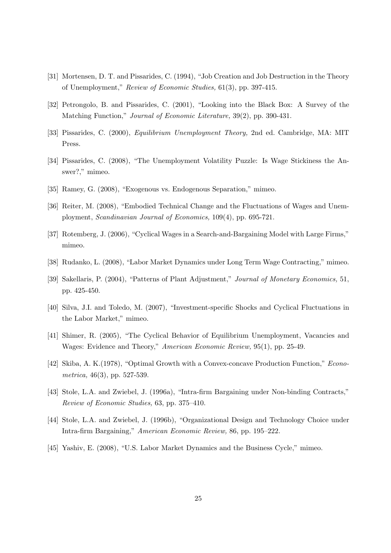- [31] Mortensen, D. T. and Pissarides, C. (1994), "Job Creation and Job Destruction in the Theory of Unemployment," Review of Economic Studies, 61(3), pp. 397-415.
- [32] Petrongolo, B. and Pissarides, C. (2001), "Looking into the Black Box: A Survey of the Matching Function," Journal of Economic Literature, 39(2), pp. 390-431.
- [33] Pissarides, C. (2000), Equilibrium Unemployment Theory, 2nd ed. Cambridge, MA: MIT Press.
- [34] Pissarides, C. (2008), "The Unemployment Volatility Puzzle: Is Wage Stickiness the Answer?," mimeo.
- [35] Ramey, G. (2008), "Exogenous vs. Endogenous Separation," mimeo.
- [36] Reiter, M. (2008), "Embodied Technical Change and the Fluctuations of Wages and Unemployment, Scandinavian Journal of Economics, 109(4), pp. 695-721.
- [37] Rotemberg, J. (2006), "Cyclical Wages in a Search-and-Bargaining Model with Large Firms," mimeo.
- [38] Rudanko, L. (2008), "Labor Market Dynamics under Long Term Wage Contracting," mimeo.
- [39] Sakellaris, P. (2004), "Patterns of Plant Adjustment," Journal of Monetary Economics, 51, pp. 425-450.
- [40] Silva, J.I. and Toledo, M. (2007), "Investment-specific Shocks and Cyclical Fluctuations in the Labor Market," mimeo.
- [41] Shimer, R. (2005), "The Cyclical Behavior of Equilibrium Unemployment, Vacancies and Wages: Evidence and Theory," American Economic Review, 95(1), pp. 25-49.
- [42] Skiba, A. K.(1978), "Optimal Growth with a Convex-concave Production Function," Econometrica, 46(3), pp. 527-539.
- [43] Stole, L.A. and Zwiebel, J. (1996a), "Intra-firm Bargaining under Non-binding Contracts," Review of Economic Studies, 63, pp. 375–410.
- [44] Stole, L.A. and Zwiebel, J. (1996b), "Organizational Design and Technology Choice under Intra-firm Bargaining," American Economic Review, 86, pp. 195–222.
- [45] Yashiv, E. (2008), "U.S. Labor Market Dynamics and the Business Cycle," mimeo.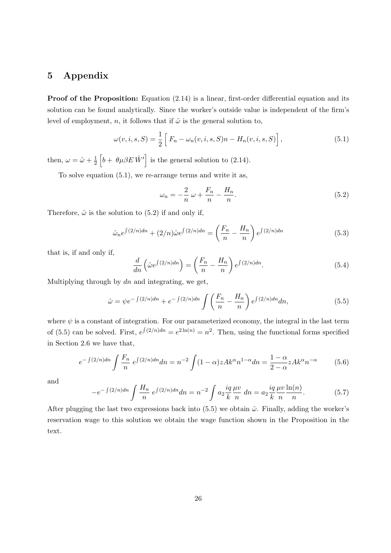## 5 Appendix

Proof of the Proposition: Equation (2.14) is a linear, first-order differential equation and its solution can be found analytically. Since the worker's outside value is independent of the firm's level of employment, n, it follows that if  $\hat{\omega}$  is the general solution to,

$$
\omega(v,i,s,S) = \frac{1}{2} \left[ F_n - \omega_n(v,i,s,S)n - H_n(v,i,s,S) \right],
$$
\n(5.1)

then,  $\omega = \hat{\omega} + \frac{1}{2}$  $\overline{2}$ h  $b + \theta \mu \beta E \hat{W}'$ is the general solution to (2.14).

To solve equation (5.1), we re-arrange terms and write it as,

$$
\omega_n = -\frac{2}{n}\,\omega + \frac{F_n}{n} - \frac{H_n}{n}.\tag{5.2}
$$

Therefore,  $\hat{\omega}$  is the solution to (5.2) if and only if,

$$
\hat{\omega}_n e^{\int (2/n)dn} + (2/n)\hat{\omega}e^{\int (2/n)dn} = \left(\frac{F_n}{n} - \frac{H_n}{n}\right)e^{\int (2/n)dn} \tag{5.3}
$$

that is, if and only if,

$$
\frac{d}{dn}\left(\hat{\omega}e^{\int (2/n)dn}\right) = \left(\frac{F_n}{n} - \frac{H_n}{n}\right)e^{\int (2/n)dn}.\tag{5.4}
$$

Multiplying through by  $dn$  and integrating, we get,

$$
\hat{\omega} = \psi e^{-\int (2/n)dn} + e^{-\int (2/n)dn} \int \left(\frac{F_n}{n} - \frac{H_n}{n}\right) e^{\int (2/n)dn} dn,\tag{5.5}
$$

where  $\psi$  is a constant of integration. For our parameterized economy, the integral in the last term of (5.5) can be solved. First,  $e^{\int (2/n)dn} = e^{2\ln(n)} = n^2$ . Then, using the functional forms specified in Section 2.6 we have that,

$$
e^{-\int (2/n)dn} \int \frac{F_n}{n} e^{\int (2/n)dn} dn = n^{-2} \int (1-\alpha) z A k^{\alpha} n^{1-\alpha} dn = \frac{1-\alpha}{2-\alpha} z A k^{\alpha} n^{-\alpha}
$$
(5.6)

and

$$
-e^{-\int (2/n)dn} \int \frac{H_n}{n} e^{\int (2/n)dn} dn = n^{-2} \int a_2 \frac{iq}{k} \frac{\mu v}{n} dn = a_2 \frac{iq}{k} \frac{\mu v}{n} \frac{\ln(n)}{n}.
$$
 (5.7)

After plugging the last two expressions back into  $(5.5)$  we obtain  $\hat{\omega}$ . Finally, adding the worker's reservation wage to this solution we obtain the wage function shown in the Proposition in the text.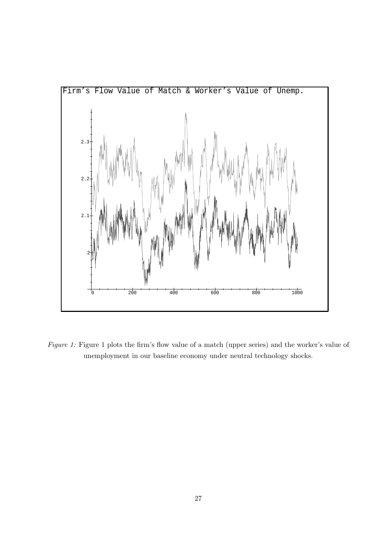

Figure 1: Figure 1 plots the firm's flow value of a match (upper series) and the worker's value of unemployment in our baseline economy under neutral technology shocks.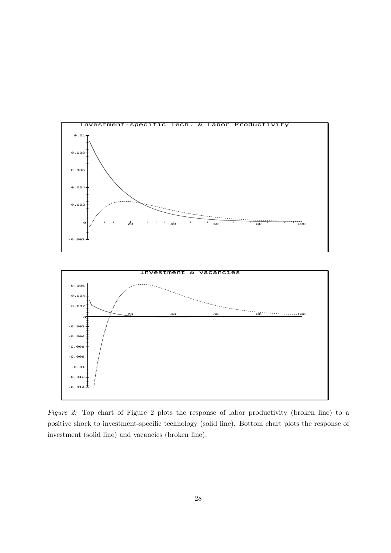

Figure 2: Top chart of Figure 2 plots the response of labor productivity (broken line) to a positive shock to investment-specific technology (solid line). Bottom chart plots the response of investment (solid line) and vacancies (broken line).